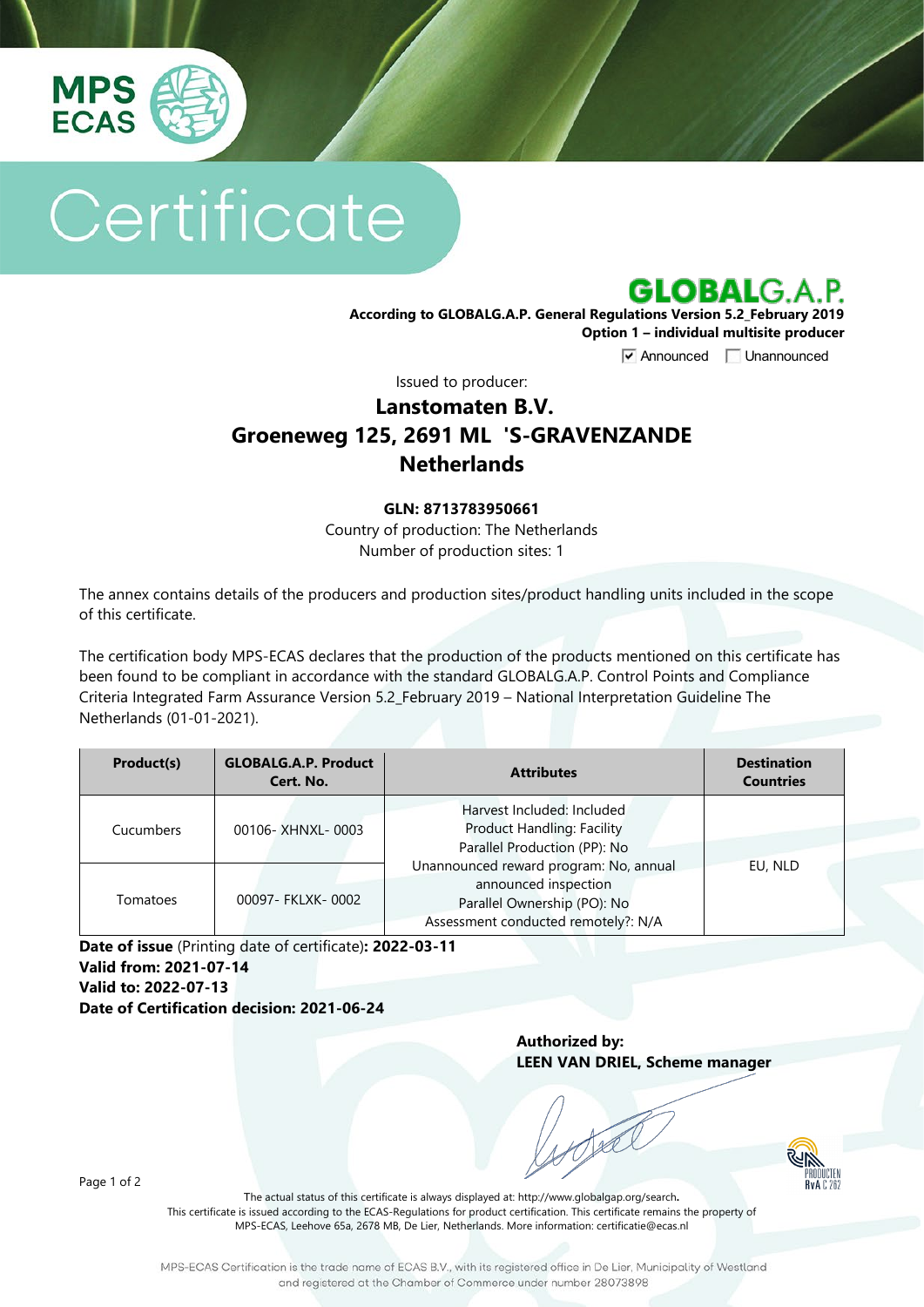

# Certificate



**According to GLOBALG.A.P. General Regulations Version 5.2\_February 2019 Option 1 – individual multisite producer**

**V** Announced **Unannounced** 

Issued to producer:

## **Lanstomaten B.V. Groeneweg 125, 2691 ML 'S-GRAVENZANDE Netherlands**

#### **GLN: 8713783950661**

Country of production: The Netherlands Number of production sites: 1

The annex contains details of the producers and production sites/product handling units included in the scope of this certificate.

The certification body MPS-ECAS declares that the production of the products mentioned on this certificate has been found to be compliant in accordance with the standard GLOBALG.A.P. Control Points and Compliance Criteria Integrated Farm Assurance Version 5.2\_February 2019 – National Interpretation Guideline The Netherlands (01-01-2021).

| Product(s) | <b>GLOBALG.A.P. Product</b><br>Cert. No. | <b>Attributes</b>                                                                                                                    | <b>Destination</b><br><b>Countries</b> |
|------------|------------------------------------------|--------------------------------------------------------------------------------------------------------------------------------------|----------------------------------------|
| Cucumbers  | 00106-XHNXL-0003                         | Harvest Included: Included<br><b>Product Handling: Facility</b><br>Parallel Production (PP): No                                      |                                        |
| Tomatoes   | 00097- FKLXK-0002                        | Unannounced reward program: No, annual<br>announced inspection<br>Parallel Ownership (PO): No<br>Assessment conducted remotely?: N/A | EU, NLD                                |

**Date of issue** (Printing date of certificate)**: 2022-03-11 Valid from: 2021-07-14 Valid to: 2022-07-13 Date of Certification decision: 2021-06-24**

> **Authorized by: LEEN VAN DRIEL, Scheme manager**

Page 1 of 2

The actual status of this certificate is always displayed at: <http://www.globalgap.org/search>**.**  This certificate is issued according to the ECAS-Regulations for product certification. This certificate remains the property of MPS-ECAS, Leehove 65a, 2678 MB, De Lier, Netherlands. More information[: certificatie@ecas.nl](mailto:certificatie@ecas.nl)